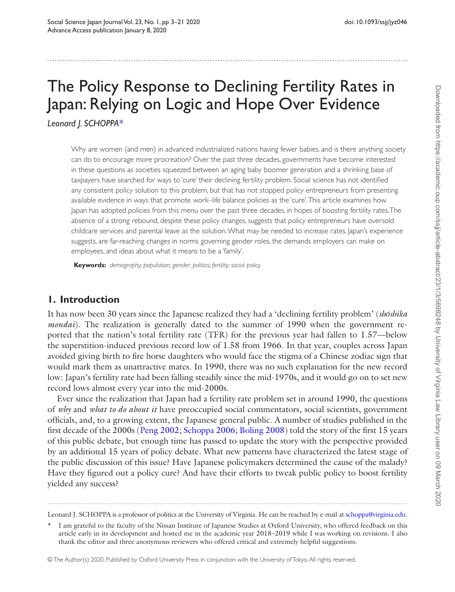# The Policy Response to Declining Fertility Rates in Japan: Relying on Logic and Hope Over Evidence

*Leonard J. SCHOPP[A\\*](#page-0-0)*

Why are women (and men) in advanced industrialized nations having fewer babies, and is there anything society can do to encourage more procreation? Over the past three decades, governments have become interested in these questions as societies squeezed between an aging baby boomer generation and a shrinking base of taxpayers have searched for ways to 'cure' their declining fertility problem. Social science has not identified any consistent policy solution to this problem, but that has not stopped policy entrepreneurs from presenting available evidence in ways that promote work–life balance policies as the 'cure'. This article examines how Japan has adopted policies from this menu over the past three decades, in hopes of boosting fertility rates. The absence of a strong rebound, despite these policy changes, suggests that policy entrepreneurs have oversold childcare services and parental leave as the solution. What may be needed to increase rates, Japan's experience suggests, are far-reaching changes in norms governing gender roles, the demands employers can make on employees, and ideas about what it means to be a 'family'.

**Keywords:** *demography; population; gender; politics; fertility; social policy*

### **1. Introduction**

It has now been 30 years since the Japanese realized they had a 'declining fertility problem' (*shōshika mondai*). The realization is generally dated to the summer of 1990 when the government reported that the nation's total fertility rate (TFR) for the previous year had fallen to 1.57—below the superstition-induced previous record low of 1.58 from 1966. In that year, couples across Japan avoided giving birth to fire horse daughters who would face the stigma of a Chinese zodiac sign that would mark them as unattractive mates. In 1990, there was no such explanation for the new record low: Japan's fertility rate had been falling steadily since the mid-1970s, and it would go on to set new record lows almost every year into the mid-2000s.

Ever since the realization that Japan had a fertility rate problem set in around 1990, the questions of *why* and *what to do about it* have preoccupied social commentators, social scientists, government officials, and, to a growing extent, the Japanese general public. A number of studies published in the first decade of the 2000s ([Peng 2002](#page-18-0); [Schoppa 2006](#page-18-1); [Boling 2008](#page-17-0)) told the story of the first 15 years of this public debate, but enough time has passed to update the story with the perspective provided by an additional 15 years of policy debate. What new patterns have characterized the latest stage of the public discussion of this issue? Have Japanese policymakers determined the cause of the malady? Have they figured out a policy cure? And have their efforts to tweak public policy to boost fertility yielded any success?

Leonard J. SCHOPPA is a professor of politics at the University of Virginia. He can be reached by e-mail at [schoppa@virginia.edu.](mailto:schoppa@virginia.edu?subject=)

<span id="page-0-0"></span><sup>\*</sup> I am grateful to the faculty of the Nissan Institute of Japanese Studies at Oxford University, who offered feedback on this article early in its development and hosted me in the academic year 2018–2019 while I was working on revisions. I also thank the editor and three anonymous reviewers who offered critical and extremely helpful suggestions.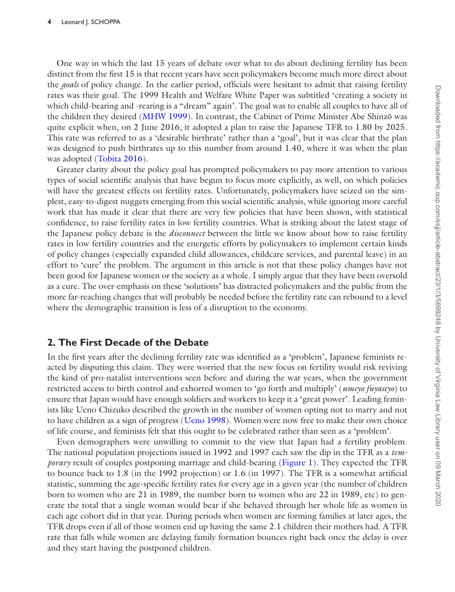One way in which the last 15 years of debate over what to do about declining fertility has been distinct from the first 15 is that recent years have seen policymakers become much more direct about the *goals* of policy change. In the earlier period, officials were hesitant to admit that raising fertility rates was their goal. The 1999 Health and Welfare White Paper was subtitled 'creating a society in which child-bearing and -rearing is a "dream" again'. The goal was to enable all couples to have all of the children they desired ([MHW 1999\)](#page-17-1). In contrast, the Cabinet of Prime Minister Abe Shinzō was quite explicit when, on 2 June 2016, it adopted a plan to raise the Japanese TFR to 1.80 by 2025. This rate was referred to as a 'desirable birthrate' rather than a 'goal', but it was clear that the plan was designed to push birthrates up to this number from around 1.40, where it was when the plan was adopted ([Tobita 2016\)](#page-18-2).

Greater clarity about the policy goal has prompted policymakers to pay more attention to various types of social scientific analysis that have begun to focus more explicitly, as well, on which policies will have the greatest effects on fertility rates. Unfortunately, policymakers have seized on the simplest, easy-to-digest nuggets emerging from this social scientific analysis, while ignoring more careful work that has made it clear that there are very few policies that have been shown, with statistical confidence, to raise fertility rates in low fertility countries. What is striking about the latest stage of the Japanese policy debate is the *disconnect* between the little we know about how to raise fertility rates in low fertility countries and the energetic efforts by policymakers to implement certain kinds of policy changes (especially expanded child allowances, childcare services, and parental leave) in an effort to 'cure' the problem. The argument in this article is not that these policy changes have not been good for Japanese women or the society as a whole. I simply argue that they have been oversold as a cure. The over-emphasis on these 'solutions' has distracted policymakers and the public from the more far-reaching changes that will probably be needed before the fertility rate can rebound to a level where the demographic transition is less of a disruption to the economy.

## **2. The First Decade of the Debate**

In the first years after the declining fertility rate was identified as a 'problem', Japanese feminists reacted by disputing this claim. They were worried that the new focus on fertility would risk reviving the kind of pro-natalist interventions seen before and during the war years, when the government restricted access to birth control and exhorted women to 'go forth and multiply' (*umeyo fuyaseyo*) to ensure that Japan would have enough soldiers and workers to keep it a 'great power'. Leading feminists like Ueno Chizuko described the growth in the number of women opting not to marry and not to have children as a sign of progress ([Ueno 1998\)](#page-18-3). Women were now free to make their own choice of life course, and feminists felt that this ought to be celebrated rather than seen as a 'problem'.

Even demographers were unwilling to commit to the view that Japan had a fertility problem. The national population projections issued in 1992 and 1997 each saw the dip in the TFR as a *temporary* result of couples postponing marriage and child-bearing [\(Figure 1\)](#page-2-0). They expected the TFR to bounce back to 1.8 (in the 1992 projection) or 1.6 (in 1997). The TFR is a somewhat artificial statistic, summing the age-specific fertility rates for every age in a given year (the number of children born to women who are 21 in 1989, the number born to women who are 22 in 1989, etc) to generate the total that a single woman would bear if she behaved through her whole life as women in each age cohort did in that year. During periods when women are forming families at later ages, the TFR drops even if all of those women end up having the same 2.1 children their mothers had. A TFR rate that falls while women are delaying family formation bounces right back once the delay is over and they start having the postponed children.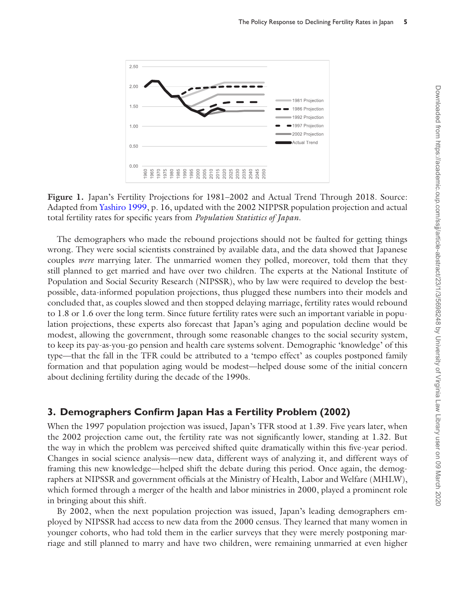<span id="page-2-0"></span>



The demographers who made the rebound projections should not be faulted for getting things wrong. They were social scientists constrained by available data, and the data showed that Japanese couples *were* marrying later. The unmarried women they polled, moreover, told them that they still planned to get married and have over two children. The experts at the National Institute of Population and Social Security Research (NIPSSR), who by law were required to develop the bestpossible, data-informed population projections, thus plugged these numbers into their models and concluded that, as couples slowed and then stopped delaying marriage, fertility rates would rebound to 1.8 or 1.6 over the long term. Since future fertility rates were such an important variable in population projections, these experts also forecast that Japan's aging and population decline would be modest, allowing the government, through some reasonable changes to the social security system, to keep its pay-as-you-go pension and health care systems solvent. Demographic 'knowledge' of this type—that the fall in the TFR could be attributed to a 'tempo effect' as couples postponed family formation and that population aging would be modest—helped douse some of the initial concern about declining fertility during the decade of the 1990s.

#### **3. Demographers Confirm Japan Has a Fertility Problem (2002)**

When the 1997 population projection was issued, Japan's TFR stood at 1.39. Five years later, when the 2002 projection came out, the fertility rate was not significantly lower, standing at 1.32. But the way in which the problem was perceived shifted quite dramatically within this five-year period. Changes in social science analysis—new data, different ways of analyzing it, and different ways of framing this new knowledge—helped shift the debate during this period. Once again, the demographers at NIPSSR and government officials at the Ministry of Health, Labor and Welfare (MHLW), which formed through a merger of the health and labor ministries in 2000, played a prominent role in bringing about this shift.

By 2002, when the next population projection was issued, Japan's leading demographers employed by NIPSSR had access to new data from the 2000 census. They learned that many women in younger cohorts, who had told them in the earlier surveys that they were merely postponing marriage and still planned to marry and have two children, were remaining unmarried at even higher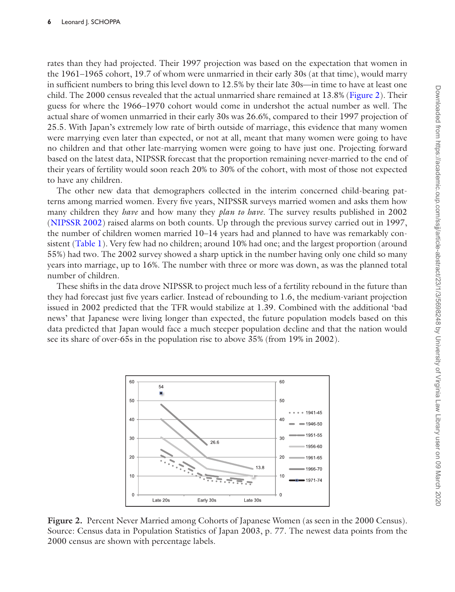rates than they had projected. Their 1997 projection was based on the expectation that women in the 1961–1965 cohort, 19.7 of whom were unmarried in their early 30s (at that time), would marry in sufficient numbers to bring this level down to 12.5% by their late 30s—in time to have at least one child. The 2000 census revealed that the actual unmarried share remained at 13.8% ([Figure 2](#page-3-0)). Their guess for where the 1966–1970 cohort would come in undershot the actual number as well. The actual share of women unmarried in their early 30s was 26.6%, compared to their 1997 projection of 25.5. With Japan's extremely low rate of birth outside of marriage, this evidence that many women were marrying even later than expected, or not at all, meant that many women were going to have no children and that other late-marrying women were going to have just one. Projecting forward based on the latest data, NIPSSR forecast that the proportion remaining never-married to the end of their years of fertility would soon reach 20% to 30% of the cohort, with most of those not expected to have any children.

The other new data that demographers collected in the interim concerned child-bearing patterns among married women. Every five years, NIPSSR surveys married women and asks them how many children they *have* and how many they *plan to have*. The survey results published in 2002 ([NIPSSR 2002](#page-18-5)) raised alarms on both counts. Up through the previous survey carried out in 1997, the number of children women married 10–14 years had and planned to have was remarkably consistent ([Table 1](#page-4-0)). Very few had no children; around 10% had one; and the largest proportion (around 55%) had two. The 2002 survey showed a sharp uptick in the number having only one child so many years into marriage, up to 16%. The number with three or more was down, as was the planned total number of children.

These shifts in the data drove NIPSSR to project much less of a fertility rebound in the future than they had forecast just five years earlier. Instead of rebounding to 1.6, the medium-variant projection issued in 2002 predicted that the TFR would stabilize at 1.39. Combined with the additional 'bad news' that Japanese were living longer than expected, the future population models based on this data predicted that Japan would face a much steeper population decline and that the nation would see its share of over-65s in the population rise to above 35% (from 19% in 2002).

<span id="page-3-0"></span>

Figure 2. Percent Never Married among Cohorts of Japanese Women (as seen in the 2000 Census). Source: Census data in Population Statistics of Japan 2003, p. 77. The newest data points from the 2000 census are shown with percentage labels.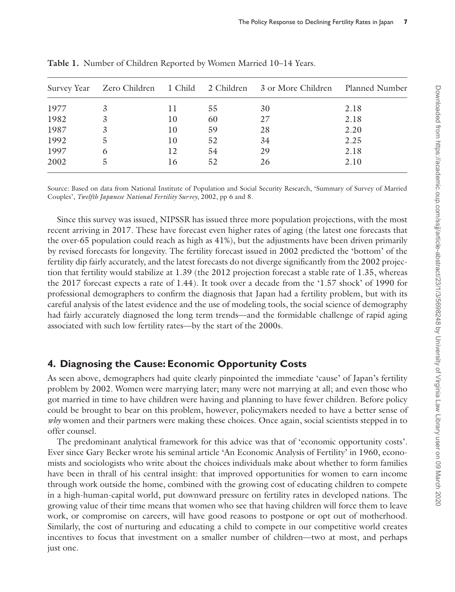|      |   |    |    | Survey Year Zero Children 1 Child 2 Children 3 or More Children Planned Number |      |
|------|---|----|----|--------------------------------------------------------------------------------|------|
| 1977 |   |    | 55 | 30                                                                             | 2.18 |
| 1982 |   | 10 | 60 | 27                                                                             | 2.18 |
| 1987 |   | 10 | 59 | 28                                                                             | 2.20 |
| 1992 | 5 | 10 | 52 | 34                                                                             | 2.25 |
| 1997 | 6 | 12 | 54 | 29                                                                             | 2.18 |
| 2002 | 5 | 16 | 52 | 26                                                                             | 2.10 |
|      |   |    |    |                                                                                |      |

<span id="page-4-0"></span>**Table 1.** Number of Children Reported by Women Married 10–14 Years.

Source: Based on data from National Institute of Population and Social Security Research, 'Summary of Survey of Married Couples', *Twelfth Japanese National Fertility Survey*, 2002, pp 6 and 8.

Since this survey was issued, NIPSSR has issued three more population projections, with the most recent arriving in 2017. These have forecast even higher rates of aging (the latest one forecasts that the over-65 population could reach as high as 41%), but the adjustments have been driven primarily by revised forecasts for longevity. The fertility forecast issued in 2002 predicted the 'bottom' of the fertility dip fairly accurately, and the latest forecasts do not diverge significantly from the 2002 projection that fertility would stabilize at 1.39 (the 2012 projection forecast a stable rate of 1.35, whereas the 2017 forecast expects a rate of 1.44). It took over a decade from the '1.57 shock' of 1990 for professional demographers to confirm the diagnosis that Japan had a fertility problem, but with its careful analysis of the latest evidence and the use of modeling tools, the social science of demography had fairly accurately diagnosed the long term trends—and the formidable challenge of rapid aging associated with such low fertility rates—by the start of the 2000s.

#### **4. Diagnosing the Cause: Economic Opportunity Costs**

As seen above, demographers had quite clearly pinpointed the immediate 'cause' of Japan's fertility problem by 2002. Women were marrying later; many were not marrying at all; and even those who got married in time to have children were having and planning to have fewer children. Before policy could be brought to bear on this problem, however, policymakers needed to have a better sense of *why* women and their partners were making these choices. Once again, social scientists stepped in to offer counsel.

The predominant analytical framework for this advice was that of 'economic opportunity costs'. Ever since Gary Becker wrote his seminal article 'An Economic Analysis of Fertility' in 1960, economists and sociologists who write about the choices individuals make about whether to form families have been in thrall of his central insight: that improved opportunities for women to earn income through work outside the home, combined with the growing cost of educating children to compete in a high-human-capital world, put downward pressure on fertility rates in developed nations. The growing value of their time means that women who see that having children will force them to leave work, or compromise on careers, will have good reasons to postpone or opt out of motherhood. Similarly, the cost of nurturing and educating a child to compete in our competitive world creates incentives to focus that investment on a smaller number of children—two at most, and perhaps just one.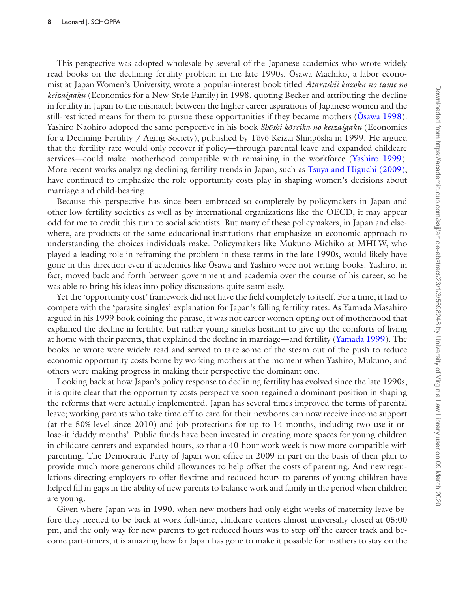This perspective was adopted wholesale by several of the Japanese academics who wrote widely read books on the declining fertility problem in the late 1990s. Ōsawa Machiko, a labor economist at Japan Women's University, wrote a popular-interest book titled *Atarashii kazoku no tame no keizaigaku* (Economics for a New-Style Family) in 1998, quoting Becker and attributing the decline in fertility in Japan to the mismatch between the higher career aspirations of Japanese women and the still-restricted means for them to pursue these opportunities if they became mothers (Ō[sawa 1998](#page-18-6)). Yashiro Naohiro adopted the same perspective in his book *Shōshi kōreika no keizaigaku* (Economics for a Declining Fertility / Aging Society), published by Tōyō Keizai Shinpōsha in 1999. He argued that the fertility rate would only recover if policy—through parental leave and expanded childcare services—could make motherhood compatible with remaining in the workforce [\(Yashiro 1999](#page-18-4)). More recent works analyzing declining fertility trends in Japan, such as [Tsuya and Higuchi \(2009\),](#page-18-7) have continued to emphasize the role opportunity costs play in shaping women's decisions about marriage and child-bearing.

Because this perspective has since been embraced so completely by policymakers in Japan and other low fertility societies as well as by international organizations like the OECD, it may appear odd for me to credit this turn to social scientists. But many of these policymakers, in Japan and elsewhere, are products of the same educational institutions that emphasize an economic approach to understanding the choices individuals make. Policymakers like Mukuno Michiko at MHLW, who played a leading role in reframing the problem in these terms in the late 1990s, would likely have gone in this direction even if academics like Ōsawa and Yashiro were not writing books. Yashiro, in fact, moved back and forth between government and academia over the course of his career, so he was able to bring his ideas into policy discussions quite seamlessly.

Yet the 'opportunity cost' framework did not have the field completely to itself. For a time, it had to compete with the 'parasite singles' explanation for Japan's falling fertility rates. As Yamada Masahiro argued in his 1999 book coining the phrase, it was not career women opting out of motherhood that explained the decline in fertility, but rather young singles hesitant to give up the comforts of living at home with their parents, that explained the decline in marriage—and fertility ([Yamada 1999\)](#page-18-8). The books he wrote were widely read and served to take some of the steam out of the push to reduce economic opportunity costs borne by working mothers at the moment when Yashiro, Mukuno, and others were making progress in making their perspective the dominant one.

Looking back at how Japan's policy response to declining fertility has evolved since the late 1990s, it is quite clear that the opportunity costs perspective soon regained a dominant position in shaping the reforms that were actually implemented. Japan has several times improved the terms of parental leave; working parents who take time off to care for their newborns can now receive income support (at the 50% level since 2010) and job protections for up to 14 months, including two use-it-orlose-it 'daddy months'. Public funds have been invested in creating more spaces for young children in childcare centers and expanded hours, so that a 40-hour work week is now more compatible with parenting. The Democratic Party of Japan won office in 2009 in part on the basis of their plan to provide much more generous child allowances to help offset the costs of parenting. And new regulations directing employers to offer flextime and reduced hours to parents of young children have helped fill in gaps in the ability of new parents to balance work and family in the period when children are young.

Given where Japan was in 1990, when new mothers had only eight weeks of maternity leave before they needed to be back at work full-time, childcare centers almost universally closed at 05:00 pm, and the only way for new parents to get reduced hours was to step off the career track and become part-timers, it is amazing how far Japan has gone to make it possible for mothers to stay on the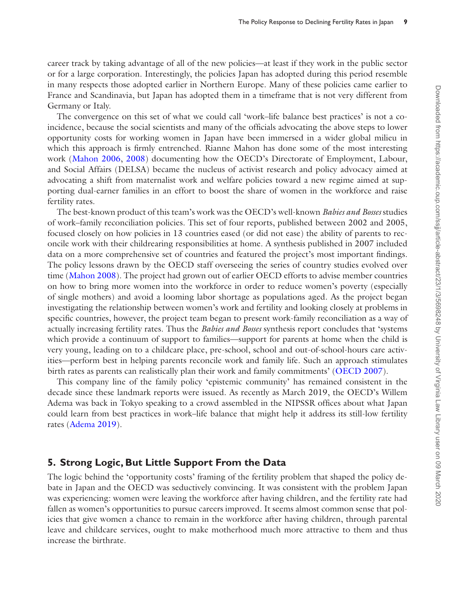career track by taking advantage of all of the new policies—at least if they work in the public sector or for a large corporation. Interestingly, the policies Japan has adopted during this period resemble in many respects those adopted earlier in Northern Europe. Many of these policies came earlier to France and Scandinavia, but Japan has adopted them in a timeframe that is not very different from Germany or Italy.

The convergence on this set of what we could call 'work–life balance best practices' is not a coincidence, because the social scientists and many of the officials advocating the above steps to lower opportunity costs for working women in Japan have been immersed in a wider global milieu in which this approach is firmly entrenched. Rianne Mahon has done some of the most interesting work ([Mahon 2006](#page-17-2), [2008](#page-17-3)) documenting how the OECD's Directorate of Employment, Labour, and Social Affairs (DELSA) became the nucleus of activist research and policy advocacy aimed at advocating a shift from maternalist work and welfare policies toward a new regime aimed at supporting dual-earner families in an effort to boost the share of women in the workforce and raise fertility rates.

The best-known product of this team's work was the OECD's well-known *Babies and Bosses* studies of work–family reconciliation policies. This set of four reports, published between 2002 and 2005, focused closely on how policies in 13 countries eased (or did not ease) the ability of parents to reconcile work with their childrearing responsibilities at home. A synthesis published in 2007 included data on a more comprehensive set of countries and featured the project's most important findings. The policy lessons drawn by the OECD staff overseeing the series of country studies evolved over time [\(Mahon 2008\)](#page-17-3). The project had grown out of earlier OECD efforts to advise member countries on how to bring more women into the workforce in order to reduce women's poverty (especially of single mothers) and avoid a looming labor shortage as populations aged. As the project began investigating the relationship between women's work and fertility and looking closely at problems in specific countries, however, the project team began to present work-family reconciliation as a way of actually increasing fertility rates. Thus the *Babies and Bosses* synthesis report concludes that 'systems which provide a continuum of support to families—support for parents at home when the child is very young, leading on to a childcare place, pre-school, school and out-of-school-hours care activities—perform best in helping parents reconcile work and family life. Such an approach stimulates birth rates as parents can realistically plan their work and family commitments' [\(OECD 2007\)](#page-18-9).

This company line of the family policy 'epistemic community' has remained consistent in the decade since these landmark reports were issued. As recently as March 2019, the OECD's Willem Adema was back in Tokyo speaking to a crowd assembled in the NIPSSR offices about what Japan could learn from best practices in work–life balance that might help it address its still-low fertility rates [\(Adema 2019](#page-17-4)).

#### **5. Strong Logic, But Little Support From the Data**

The logic behind the 'opportunity costs' framing of the fertility problem that shaped the policy debate in Japan and the OECD was seductively convincing. It was consistent with the problem Japan was experiencing: women were leaving the workforce after having children, and the fertility rate had fallen as women's opportunities to pursue careers improved. It seems almost common sense that policies that give women a chance to remain in the workforce after having children, through parental leave and childcare services, ought to make motherhood much more attractive to them and thus increase the birthrate.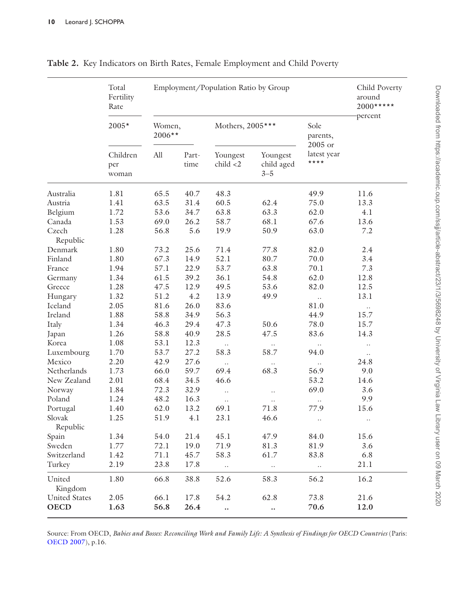|                      | Total<br>Fertility<br>Rate          | Employment/Population Ratio by Group | Child Poverty<br>around<br>$2000***$ |                      |                                   |                               |                      |
|----------------------|-------------------------------------|--------------------------------------|--------------------------------------|----------------------|-----------------------------------|-------------------------------|----------------------|
|                      | $2005*$<br>Children<br>per<br>woman | Women,<br>2006**                     |                                      | Mothers, 2005***     |                                   | Sole<br>parents,<br>$2005$ or | percent              |
|                      |                                     | All                                  | Part-<br>time                        | Youngest<br>child <2 | Youngest<br>child aged<br>$3 - 5$ | latest year<br>****           |                      |
| Australia            | 1.81                                | 65.5                                 | 40.7                                 | 48.3                 |                                   | 49.9                          | 11.6                 |
| Austria              | 1.41                                | 63.5                                 | 31.4                                 | 60.5                 | 62.4                              | 75.0                          | 13.3                 |
| Belgium              | 1.72                                | 53.6                                 | 34.7                                 | 63.8                 | 63.3                              | 62.0                          | 4.1                  |
| Canada               | 1.53                                | 69.0                                 | 26.2                                 | 58.7                 | 68.1                              | 67.6                          | 13.6                 |
| Czech<br>Republic    | 1.28                                | 56.8                                 | 5.6                                  | 19.9                 | 50.9                              | 63.0                          | 7.2                  |
| Denmark              | 1.80                                | 73.2                                 | 25.6                                 | 71.4                 | 77.8                              | 82.0                          | 2.4                  |
| Finland              | 1.80                                | 67.3                                 | 14.9                                 | 52.1                 | 80.7                              | 70.0                          | 3.4                  |
| France               | 1.94                                | 57.1                                 | 22.9                                 | 53.7                 | 63.8                              | 70.1                          | 7.3                  |
| Germany              | 1.34                                | 61.5                                 | 39.2                                 | 36.1                 | 54.8                              | 62.0                          | 12.8                 |
| Greece               | 1.28                                | 47.5                                 | 12.9                                 | 49.5                 | 53.6                              | 82.0                          | 12.5                 |
| Hungary              | 1.32                                | 51.2                                 | 4.2                                  | 13.9                 | 49.9                              | $\ddotsc$                     | 13.1                 |
| Iceland              | 2.05                                | 81.6                                 | 26.0                                 | 83.6                 |                                   | 81.0                          | $\ddots$             |
| Ireland              | 1.88                                | 58.8                                 | 34.9                                 | 56.3                 |                                   | 44.9                          | 15.7                 |
| Italy                | 1.34                                | 46.3                                 | 29.4                                 | 47.3                 | 50.6                              | 78.0                          | 15.7                 |
| Japan                | 1.26                                | 58.8                                 | 40.9                                 | 28.5                 | 47.5                              | 83.6                          | 14.3                 |
| Korea                | 1.08                                | 53.1                                 | 12.3                                 | $\ddotsc$            | $\ddots$                          | $\ddots$                      | $\ldots$             |
| Luxembourg           | 1.70                                | 53.7                                 | 27.2                                 | 58.3                 | 58.7                              | 94.0                          | $\ddot{\phantom{a}}$ |
| Mexico               | 2.20                                | 42.9                                 | 27.6                                 | $\ddotsc$            | $\ddots$                          | $\ldots$                      | 24.8                 |
| <b>Netherlands</b>   | 1.73                                | 66.0                                 | 59.7                                 | 69.4                 | 68.3                              | 56.9                          | 9.0                  |
| New Zealand          | 2.01                                | 68.4                                 | 34.5                                 | 46.6                 |                                   | 53.2                          | 14.6                 |
| Norway               | 1.84                                | 72.3                                 | 32.9                                 | $\ddot{\phantom{a}}$ | $\ldots$                          | 69.0                          | 3.6                  |
| Poland               | 1.24                                | 48.2                                 | 16.3                                 | $\ddotsc$            | $\ddotsc$                         | $\ddotsc$                     | 9.9                  |
| Portugal             | 1.40                                | 62.0                                 | 13.2                                 | 69.1                 | 71.8                              | 77.9                          | 15.6                 |
| Slovak<br>Republic   | 1.25                                | 51.9                                 | 4.1                                  | 23.1                 | 46.6                              | $\ddotsc$                     | $\ddot{\phantom{a}}$ |
| Spain                | 1.34                                | 54.0                                 | 21.4                                 | 45.1                 | 47.9                              | 84.0                          | 15.6                 |
| Sweden               | 1.77                                | 72.1                                 | 19.0                                 | 71.9                 | 81.3                              | 81.9                          | 3.6                  |
| Switzerland          | 1.42                                | 71.1                                 | 45.7                                 | 58.3                 | 61.7                              | 83.8                          | 6.8                  |
| Turkey               | 2.19                                | 23.8                                 | 17.8                                 | $\ddotsc$            | $\ddotsc$                         | $\ddot{\phantom{a}}$          | 21.1                 |
| United<br>Kingdom    | 1.80                                | 66.8                                 | 38.8                                 | 52.6                 | 58.3                              | 56.2                          | 16.2                 |
| <b>United States</b> | 2.05                                | 66.1                                 | 17.8                                 | 54.2                 | 62.8                              | 73.8                          | 21.6                 |
| <b>OECD</b>          | 1.63                                | 56.8                                 | 26.4                                 | $\ddot{\phantom{0}}$ |                                   | 70.6                          | 12.0                 |

<span id="page-7-0"></span>**Table 2.** Key Indicators on Birth Rates, Female Employment and Child Poverty

Source: From OECD, *Babies and Bosses: Reconciling Work and Family Life: A Synthesis of Findings for OECD Countries* (Paris: [OECD 2007](#page-18-9)), p.16.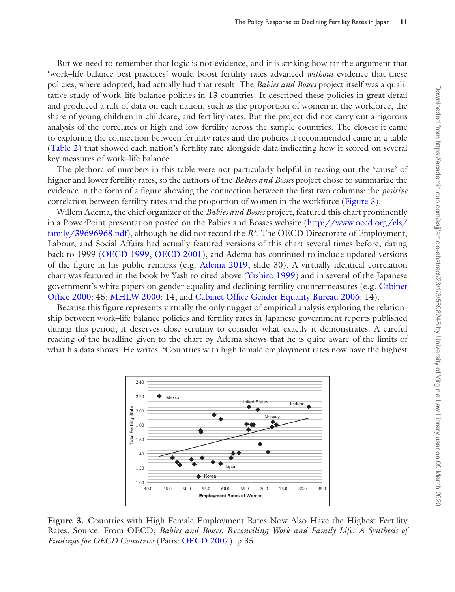But we need to remember that logic is not evidence, and it is striking how far the argument that 'work–life balance best practices' would boost fertility rates advanced *without* evidence that these policies, where adopted, had actually had that result. The *Babies and Bosses* project itself was a qualitative study of work–life balance policies in 13 countries. It described these policies in great detail and produced a raft of data on each nation, such as the proportion of women in the workforce, the share of young children in childcare, and fertility rates. But the project did not carry out a rigorous analysis of the correlates of high and low fertility across the sample countries. The closest it came to exploring the connection between fertility rates and the policies it recommended came in a table ([Table 2](#page-7-0)) that showed each nation's fertility rate alongside data indicating how it scored on several key measures of work–life balance.

The plethora of numbers in this table were not particularly helpful in teasing out the 'cause' of higher and lower fertility rates, so the authors of the *Babies and Bosses* project chose to summarize the evidence in the form of a figure showing the connection between the first two columns: the *positive* correlation between fertility rates and the proportion of women in the workforce [\(Figure 3](#page-8-0)).

Willem Adema, the chief organizer of the *Babies and Bosses* project, featured this chart prominently in a PowerPoint presentation posted on the Babies and Bosses website ([http://www.oecd.org/els/](http://www.oecd.org/els/family/39696968.pdf) [family/39696968.pdf\)](http://www.oecd.org/els/family/39696968.pdf), although he did not record the *R*2. The OECD Directorate of Employment, Labour, and Social Affairs had actually featured versions of this chart several times before, dating back to 1999 ([OECD 1999](#page-18-10), [OECD 2001](#page-18-11)), and Adema has continued to include updated versions of the figure in his public remarks (e.g. [Adema 2019,](#page-17-4) slide 30). A virtually identical correlation chart was featured in the book by Yashiro cited above [\(Yashiro 1999\)](#page-18-4) and in several of the Japanese government's white papers on gender equality and declining fertility countermeasures (e.g. [Cabinet](#page-17-5)  [Office 2000](#page-17-5): 45; [MHLW 2000](#page-17-6): 14; and [Cabinet Office Gender Equality Bureau 2006:](#page-17-7) 14).

Because this figure represents virtually the only nugget of empirical analysis exploring the relationship between work–life balance policies and fertility rates in Japanese government reports published during this period, it deserves close scrutiny to consider what exactly it demonstrates. A careful reading of the headline given to the chart by Adema shows that he is quite aware of the limits of what his data shows. He writes: 'Countries with high female employment rates now have the highest

<span id="page-8-0"></span>

**Figure 3.** Countries with High Female Employment Rates Now Also Have the Highest Fertility Rates. Source: From OECD, *Babies and Bosses: Reconciling Work and Family Life: A Synthesis of Findings for OECD Countries* (Paris: [OECD 2007](#page-18-9)), p.35.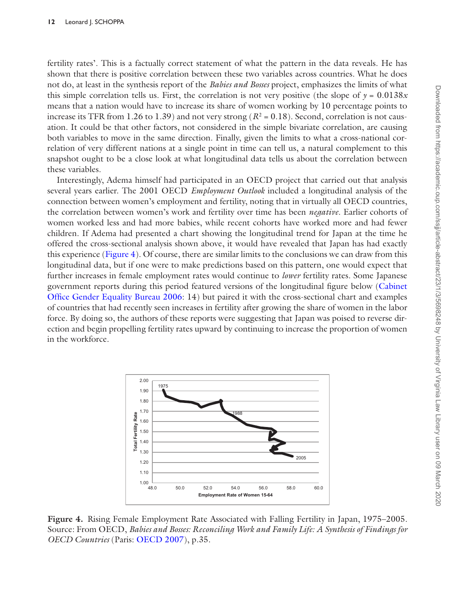fertility rates'. This is a factually correct statement of what the pattern in the data reveals. He has shown that there is positive correlation between these two variables across countries. What he does not do, at least in the synthesis report of the *Babies and Bosses* project, emphasizes the limits of what this simple correlation tells us. First, the correlation is not very positive (the slope of  $\gamma = 0.0138x$ means that a nation would have to increase its share of women working by 10 percentage points to increase its TFR from 1.26 to 1.39) and not very strong ( $R^2 = 0.18$ ). Second, correlation is not causation. It could be that other factors, not considered in the simple bivariate correlation, are causing both variables to move in the same direction. Finally, given the limits to what a cross-national correlation of very different nations at a single point in time can tell us, a natural complement to this snapshot ought to be a close look at what longitudinal data tells us about the correlation between these variables.

Interestingly, Adema himself had participated in an OECD project that carried out that analysis several years earlier. The 2001 OECD *Employment Outlook* included a longitudinal analysis of the connection between women's employment and fertility, noting that in virtually all OECD countries, the correlation between women's work and fertility over time has been *negative*. Earlier cohorts of women worked less and had more babies, while recent cohorts have worked more and had fewer children. If Adema had presented a chart showing the longitudinal trend for Japan at the time he offered the cross-sectional analysis shown above, it would have revealed that Japan has had exactly this experience [\(Figure 4\)](#page-9-0). Of course, there are similar limits to the conclusions we can draw from this longitudinal data, but if one were to make predictions based on this pattern, one would expect that further increases in female employment rates would continue to *lower* fertility rates. Some Japanese government reports during this period featured versions of the longitudinal figure below [\(Cabinet](#page-17-7)  [Office Gender Equality Bureau 2006](#page-17-7): 14) but paired it with the cross-sectional chart and examples of countries that had recently seen increases in fertility after growing the share of women in the labor force. By doing so, the authors of these reports were suggesting that Japan was poised to reverse direction and begin propelling fertility rates upward by continuing to increase the proportion of women in the workforce.

<span id="page-9-0"></span>

**Figure 4.** Rising Female Employment Rate Associated with Falling Fertility in Japan, 1975–2005. Source: From OECD, *Babies and Bosses: Reconciling Work and Family Life: A Synthesis of Findings for OECD Countries* (Paris: [OECD 2007\)](#page-18-9), p.35.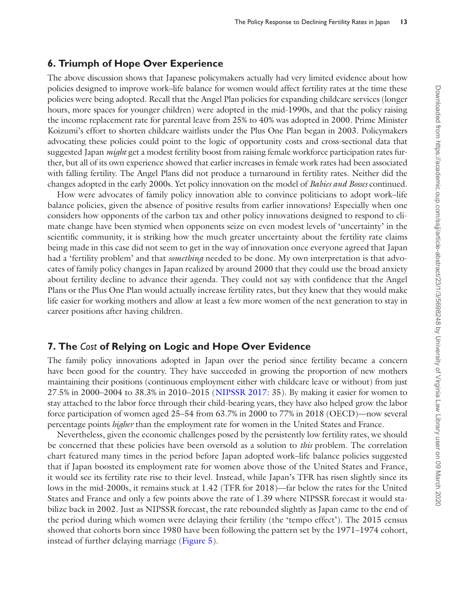#### **6. Triumph of Hope Over Experience**

The above discussion shows that Japanese policymakers actually had very limited evidence about how policies designed to improve work–life balance for women would affect fertility rates at the time these policies were being adopted. Recall that the Angel Plan policies for expanding childcare services (longer hours, more spaces for younger children) were adopted in the mid-1990s, and that the policy raising the income replacement rate for parental leave from 25% to 40% was adopted in 2000. Prime Minister Koizumi's effort to shorten childcare waitlists under the Plus One Plan began in 2003. Policymakers advocating these policies could point to the logic of opportunity costs and cross-sectional data that suggested Japan *might* get a modest fertility boost from raising female workforce participation rates further, but all of its own experience showed that earlier increases in female work rates had been associated with falling fertility. The Angel Plans did not produce a turnaround in fertility rates. Neither did the changes adopted in the early 2000s. Yet policy innovation on the model of *Babies and Bosses* continued.

How were advocates of family policy innovation able to convince politicians to adopt work–life balance policies, given the absence of positive results from earlier innovations? Especially when one considers how opponents of the carbon tax and other policy innovations designed to respond to climate change have been stymied when opponents seize on even modest levels of 'uncertainty' in the scientific community, it is striking how the much greater uncertainty about the fertility rate claims being made in this case did not seem to get in the way of innovation once everyone agreed that Japan had a 'fertility problem' and that *something* needed to be done. My own interpretation is that advocates of family policy changes in Japan realized by around 2000 that they could use the broad anxiety about fertility decline to advance their agenda. They could not say with confidence that the Angel Plans or the Plus One Plan would actually increase fertility rates, but they knew that they would make life easier for working mothers and allow at least a few more women of the next generation to stay in career positions after having children.

#### **7. The** *Cost* **of Relying on Logic and Hope Over Evidence**

The family policy innovations adopted in Japan over the period since fertility became a concern have been good for the country. They have succeeded in growing the proportion of new mothers maintaining their positions (continuous employment either with childcare leave or without) from just 27.5% in 2000–2004 to 38.3% in 2010–2015 ([NIPSSR 2017:](#page-18-12) 35). By making it easier for women to stay attached to the labor force through their child-bearing years, they have also helped grow the labor force participation of women aged 25–54 from 63.7% in 2000 to 77% in 2018 (OECD)—now several percentage points *higher* than the employment rate for women in the United States and France.

Nevertheless, given the economic challenges posed by the persistently low fertility rates, we should be concerned that these policies have been oversold as a solution to *this* problem. The correlation chart featured many times in the period before Japan adopted work–life balance policies suggested that if Japan boosted its employment rate for women above those of the United States and France, it would see its fertility rate rise to their level. Instead, while Japan's TFR has risen slightly since its lows in the mid-2000s, it remains stuck at 1.42 (TFR for 2018)—far below the rates for the United States and France and only a few points above the rate of 1.39 where NIPSSR forecast it would stabilize back in 2002. Just as NIPSSR forecast, the rate rebounded slightly as Japan came to the end of the period during which women were delaying their fertility (the 'tempo effect'). The 2015 census showed that cohorts born since 1980 have been following the pattern set by the 1971–1974 cohort, instead of further delaying marriage [\(Figure 5\)](#page-11-0).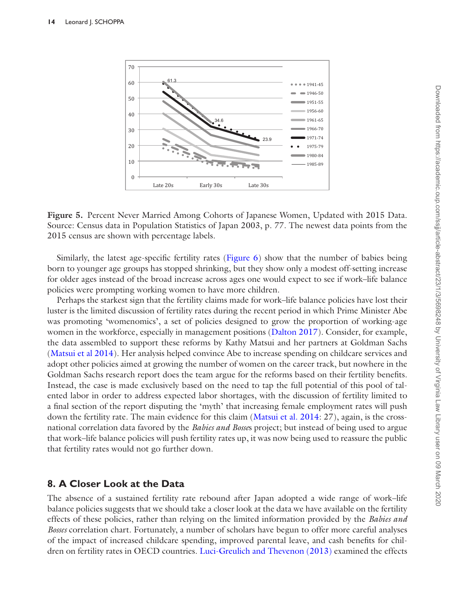

<span id="page-11-0"></span>**Figure 5.** Percent Never Married Among Cohorts of Japanese Women, Updated with 2015 Data. Source: Census data in Population Statistics of Japan 2003, p. 77. The newest data points from the 2015 census are shown with percentage labels.

Similarly, the latest age-specific fertility rates ([Figure 6](#page-12-0)) show that the number of babies being born to younger age groups has stopped shrinking, but they show only a modest off-setting increase for older ages instead of the broad increase across ages one would expect to see if work–life balance policies were prompting working women to have more children.

Perhaps the starkest sign that the fertility claims made for work–life balance policies have lost their luster is the limited discussion of fertility rates during the recent period in which Prime Minister Abe was promoting 'womenomics', a set of policies designed to grow the proportion of working-age women in the workforce, especially in management positions ([Dalton 2017](#page-17-8)). Consider, for example, the data assembled to support these reforms by Kathy Matsui and her partners at Goldman Sachs ([Matsui et al 2014\)](#page-17-9). Her analysis helped convince Abe to increase spending on childcare services and adopt other policies aimed at growing the number of women on the career track, but nowhere in the Goldman Sachs research report does the team argue for the reforms based on their fertility benefits. Instead, the case is made exclusively based on the need to tap the full potential of this pool of talented labor in order to address expected labor shortages, with the discussion of fertility limited to a final section of the report disputing the 'myth' that increasing female employment rates will push down the fertility rate. The main evidence for this claim [\(Matsui et al. 2014:](#page-17-9) 27), again, is the crossnational correlation data favored by the *Babies and Bosse*s project; but instead of being used to argue that work–life balance policies will push fertility rates up, it was now being used to reassure the public that fertility rates would not go further down.

#### **8. A Closer Look at the Data**

The absence of a sustained fertility rate rebound after Japan adopted a wide range of work–life balance policies suggests that we should take a closer look at the data we have available on the fertility effects of these policies, rather than relying on the limited information provided by the *Babies and Bosses* correlation chart. Fortunately, a number of scholars have begun to offer more careful analyses of the impact of increased childcare spending, improved parental leave, and cash benefits for children on fertility rates in OECD countries. [Luci-Greulich and Thevenon \(2013\)](#page-17-10) examined the effects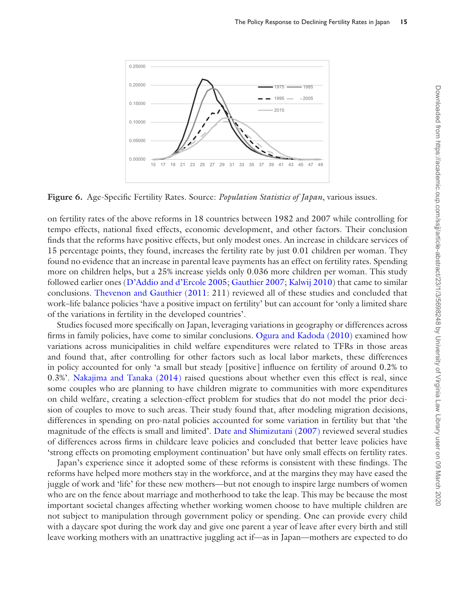<span id="page-12-0"></span>

**Figure 6.** Age-Specific Fertility Rates. Source: *Population Statistics of Japan*, various issues.

on fertility rates of the above reforms in 18 countries between 1982 and 2007 while controlling for tempo effects, national fixed effects, economic development, and other factors. Their conclusion finds that the reforms have positive effects, but only modest ones. An increase in childcare services of 15 percentage points, they found, increases the fertility rate by just 0.01 children per woman. They found no evidence that an increase in parental leave payments has an effect on fertility rates. Spending more on children helps, but a 25% increase yields only 0.036 more children per woman. This study followed earlier ones [\(D'Addio and d'Ercole 2005;](#page-17-11) [Gauthier 2007](#page-17-12); [Kalwij 2010](#page-17-13)) that came to similar conclusions. [Thevenon and Gauthier \(2011:](#page-18-13) 211) reviewed all of these studies and concluded that work–life balance policies 'have a positive impact on fertility' but can account for 'only a limited share of the variations in fertility in the developed countries'.

Studies focused more specifically on Japan, leveraging variations in geography or differences across firms in family policies, have come to similar conclusions. [Ogura and Kadoda \(2010\)](#page-18-14) examined how variations across municipalities in child welfare expenditures were related to TFRs in those areas and found that, after controlling for other factors such as local labor markets, these differences in policy accounted for only 'a small but steady [positive] influence on fertility of around 0.2% to 0.3%'. [Nakajima and Tanaka \(2014\)](#page-17-14) raised questions about whether even this effect is real, since some couples who are planning to have children migrate to communities with more expenditures on child welfare, creating a selection-effect problem for studies that do not model the prior decision of couples to move to such areas. Their study found that, after modeling migration decisions, differences in spending on pro-natal policies accounted for some variation in fertility but that 'the magnitude of the effects is small and limited'. [Date and Shimizutani \(2007\)](#page-17-15) reviewed several studies of differences across firms in childcare leave policies and concluded that better leave policies have 'strong effects on promoting employment continuation' but have only small effects on fertility rates.

Japan's experience since it adopted some of these reforms is consistent with these findings. The reforms have helped more mothers stay in the workforce, and at the margins they may have eased the juggle of work and 'life' for these new mothers—but not enough to inspire large numbers of women who are on the fence about marriage and motherhood to take the leap. This may be because the most important societal changes affecting whether working women choose to have multiple children are not subject to manipulation through government policy or spending. One can provide every child with a daycare spot during the work day and give one parent a year of leave after every birth and still leave working mothers with an unattractive juggling act if—as in Japan—mothers are expected to do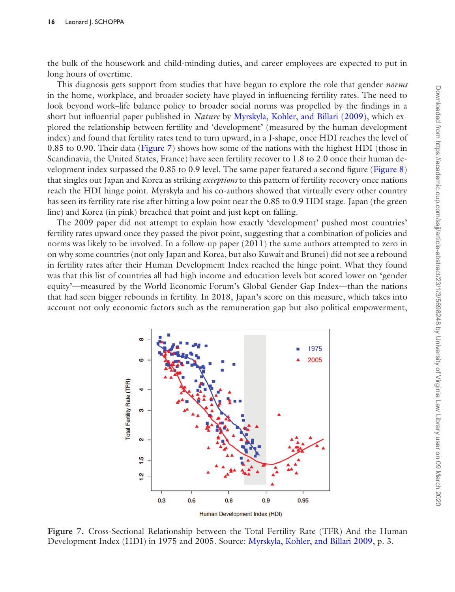the bulk of the housework and child-minding duties, and career employees are expected to put in long hours of overtime.

This diagnosis gets support from studies that have begun to explore the role that gender *norms* in the home, workplace, and broader society have played in influencing fertility rates. The need to look beyond work–life balance policy to broader social norms was propelled by the findings in a short but influential paper published in *Nature* by [Myrskyla, Kohler, and Billari \(2009\),](#page-17-16) which explored the relationship between fertility and 'development' (measured by the human development index) and found that fertility rates tend to turn upward, in a J-shape, once HDI reaches the level of 0.85 to 0.90. Their data [\(Figure 7](#page-13-0)) shows how some of the nations with the highest HDI (those in Scandinavia, the United States, France) have seen fertility recover to 1.8 to 2.0 once their human development index surpassed the 0.85 to 0.9 level. The same paper featured a second figure ([Figure 8\)](#page-14-0) that singles out Japan and Korea as striking *exceptions* to this pattern of fertility recovery once nations reach the HDI hinge point. Myrskyla and his co-authors showed that virtually every other country has seen its fertility rate rise after hitting a low point near the 0.85 to 0.9 HDI stage. Japan (the green line) and Korea (in pink) breached that point and just kept on falling.

The 2009 paper did not attempt to explain how exactly 'development' pushed most countries' fertility rates upward once they passed the pivot point, suggesting that a combination of policies and norms was likely to be involved. In a follow-up paper (2011) the same authors attempted to zero in on why some countries (not only Japan and Korea, but also Kuwait and Brunei) did not see a rebound in fertility rates after their Human Development Index reached the hinge point. What they found was that this list of countries all had high income and education levels but scored lower on 'gender equity'—measured by the World Economic Forum's Global Gender Gap Index—than the nations that had seen bigger rebounds in fertility. In 2018, Japan's score on this measure, which takes into account not only economic factors such as the remuneration gap but also political empowerment,



<span id="page-13-0"></span>**Figure 7.** Cross-Sectional Relationship between the Total Fertility Rate (TFR) And the Human Development Index (HDI) in 1975 and 2005. Source: [Myrskyla, Kohler, and Billari 2009,](#page-17-16) p. 3.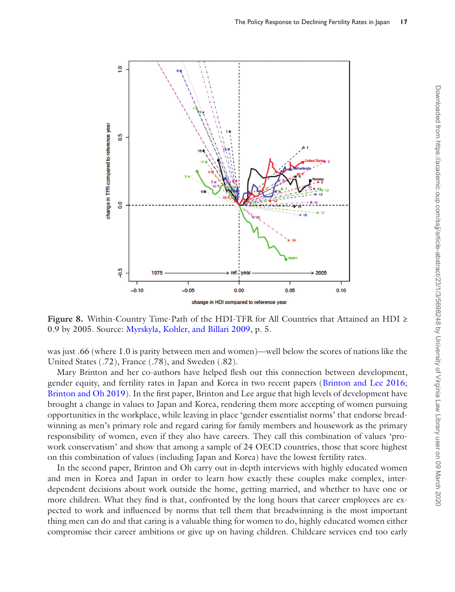

<span id="page-14-0"></span>**Figure 8.** Within-Country Time-Path of the HDI-TFR for All Countries that Attained an HDI ≥ 0.9 by 2005. Source: [Myrskyla, Kohler, and Billari 2009,](#page-17-16) p. 5.

was just .66 (where 1.0 is parity between men and women)—well below the scores of nations like the United States (.72), France (.78), and Sweden (.82).

Mary Brinton and her co-authors have helped flesh out this connection between development, gender equity, and fertility rates in Japan and Korea in two recent papers ([Brinton and Lee 2016](#page-17-17); [Brinton and Oh 2019\)](#page-17-18). In the first paper, Brinton and Lee argue that high levels of development have brought a change in values to Japan and Korea, rendering them more accepting of women pursuing opportunities in the workplace, while leaving in place 'gender essentialist norms' that endorse breadwinning as men's primary role and regard caring for family members and housework as the primary responsibility of women, even if they also have careers. They call this combination of values 'prowork conservatism' and show that among a sample of 24 OECD countries, those that score highest on this combination of values (including Japan and Korea) have the lowest fertility rates.

In the second paper, Brinton and Oh carry out in-depth interviews with highly educated women and men in Korea and Japan in order to learn how exactly these couples make complex, interdependent decisions about work outside the home, getting married, and whether to have one or more children. What they find is that, confronted by the long hours that career employees are expected to work and influenced by norms that tell them that breadwinning is the most important thing men can do and that caring is a valuable thing for women to do, highly educated women either compromise their career ambitions or give up on having children. Childcare services end too early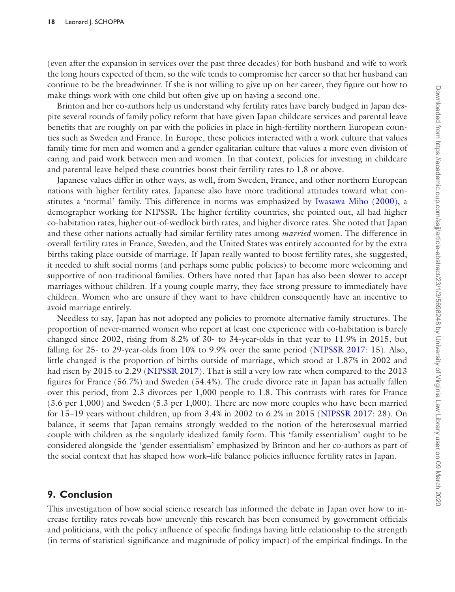(even after the expansion in services over the past three decades) for both husband and wife to work the long hours expected of them, so the wife tends to compromise her career so that her husband can continue to be the breadwinner. If she is not willing to give up on her career, they figure out how to make things work with one child but often give up on having a second one.

Brinton and her co-authors help us understand why fertility rates have barely budged in Japan despite several rounds of family policy reform that have given Japan childcare services and parental leave benefits that are roughly on par with the policies in place in high-fertility northern European counties such as Sweden and France. In Europe, these policies interacted with a work culture that values family time for men and women and a gender egalitarian culture that values a more even division of caring and paid work between men and women. In that context, policies for investing in childcare and parental leave helped these countries boost their fertility rates to 1.8 or above.

Japanese values differ in other ways, as well, from Sweden, France, and other northern European nations with higher fertility rates. Japanese also have more traditional attitudes toward what constitutes a 'normal' family. This difference in norms was emphasized by [Iwasawa Miho \(2000\)](#page-17-19), a demographer working for NIPSSR. The higher fertility countries, she pointed out, all had higher co-habitation rates, higher out-of-wedlock birth rates, and higher divorce rates. She noted that Japan and these other nations actually had similar fertility rates among *married* women. The difference in overall fertility rates in France, Sweden, and the United States was entirely accounted for by the extra births taking place outside of marriage. If Japan really wanted to boost fertility rates, she suggested, it needed to shift social norms (and perhaps some public policies) to become more welcoming and supportive of non-traditional families. Others have noted that Japan has also been slower to accept marriages without children. If a young couple marry, they face strong pressure to immediately have children. Women who are unsure if they want to have children consequently have an incentive to avoid marriage entirely.

Needless to say, Japan has not adopted any policies to promote alternative family structures. The proportion of never-married women who report at least one experience with co-habitation is barely changed since 2002, rising from 8.2% of 30- to 34-year-olds in that year to 11.9% in 2015, but falling for 25- to 29-year-olds from 10% to 9.9% over the same period [\(NIPSSR 2017:](#page-18-12) 15). Also, little changed is the proportion of births outside of marriage, which stood at 1.87% in 2002 and had risen by 2015 to 2.29 [\(NIPSSR 2017](#page-18-12)). That is still a very low rate when compared to the 2013 figures for France (56.7%) and Sweden (54.4%). The crude divorce rate in Japan has actually fallen over this period, from 2.3 divorces per 1,000 people to 1.8. This contrasts with rates for France (3.6 per 1,000) and Sweden (5.3 per 1,000). There are now more couples who have been married for 15–19 years without children, up from 3.4% in 2002 to 6.2% in 2015 ([NIPSSR 2017:](#page-18-12) 28). On balance, it seems that Japan remains strongly wedded to the notion of the heterosexual married couple with children as the singularly idealized family form. This 'family essentialism' ought to be considered alongside the 'gender essentialism' emphasized by Brinton and her co-authors as part of the social context that has shaped how work–life balance policies influence fertility rates in Japan.

#### **9. Conclusion**

This investigation of how social science research has informed the debate in Japan over how to increase fertility rates reveals how unevenly this research has been consumed by government officials and politicians, with the policy influence of specific findings having little relationship to the strength (in terms of statistical significance and magnitude of policy impact) of the empirical findings. In the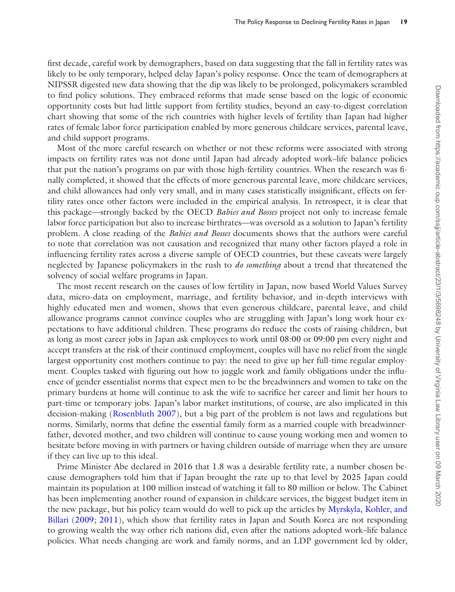first decade, careful work by demographers, based on data suggesting that the fall in fertility rates was likely to be only temporary, helped delay Japan's policy response. Once the team of demographers at NIPSSR digested new data showing that the dip was likely to be prolonged, policymakers scrambled to find policy solutions. They embraced reforms that made sense based on the logic of economic opportunity costs but had little support from fertility studies, beyond an easy-to-digest correlation chart showing that some of the rich countries with higher levels of fertility than Japan had higher rates of female labor force participation enabled by more generous childcare services, parental leave, and child support programs.

Most of the more careful research on whether or not these reforms were associated with strong impacts on fertility rates was not done until Japan had already adopted work–life balance policies that put the nation's programs on par with those high-fertility countries. When the research was finally completed, it showed that the effects of more generous parental leave, more childcare services, and child allowances had only very small, and in many cases statistically insignificant, effects on fertility rates once other factors were included in the empirical analysis. In retrospect, it is clear that this package—strongly backed by the OECD *Babies and Bosses* project not only to increase female labor force participation but also to increase birthrates—was oversold as a solution to Japan's fertility problem. A close reading of the *Babies and Bosses* documents shows that the authors were careful to note that correlation was not causation and recognized that many other factors played a role in influencing fertility rates across a diverse sample of OECD countries, but these caveats were largely neglected by Japanese policymakers in the rush to *do something* about a trend that threatened the solvency of social welfare programs in Japan.

The most recent research on the causes of low fertility in Japan, now based World Values Survey data, micro-data on employment, marriage, and fertility behavior, and in-depth interviews with highly educated men and women, shows that even generous childcare, parental leave, and child allowance programs cannot convince couples who are struggling with Japan's long work hour expectations to have additional children. These programs do reduce the costs of raising children, but as long as most career jobs in Japan ask employees to work until 08:00 or 09:00 pm every night and accept transfers at the risk of their continued employment, couples will have no relief from the single largest opportunity cost mothers continue to pay: the need to give up her full-time regular employment. Couples tasked with figuring out how to juggle work and family obligations under the influence of gender essentialist norms that expect men to be the breadwinners and women to take on the primary burdens at home will continue to ask the wife to sacrifice her career and limit her hours to part-time or temporary jobs. Japan's labor market institutions, of course, are also implicated in this decision-making ([Rosenbluth 2007](#page-18-15)), but a big part of the problem is not laws and regulations but norms. Similarly, norms that define the essential family form as a married couple with breadwinnerfather, devoted mother, and two children will continue to cause young working men and women to hesitate before moving in with partners or having children outside of marriage when they are unsure if they can live up to this ideal.

Prime Minister Abe declared in 2016 that 1.8 was a desirable fertility rate, a number chosen because demographers told him that if Japan brought the rate up to that level by 2025 Japan could maintain its population at 100 million instead of watching it fall to 80 million or below. The Cabinet has been implementing another round of expansion in childcare services, the biggest budget item in the new package, but his policy team would do well to pick up the articles by [Myrskyla, Kohler, and](#page-17-16)  [Billari \(2009;](#page-17-16) [2011](#page-17-20)), which show that fertility rates in Japan and South Korea are not responding to growing wealth the way other rich nations did, even after the nations adopted work–life balance policies. What needs changing are work and family norms, and an LDP government led by older,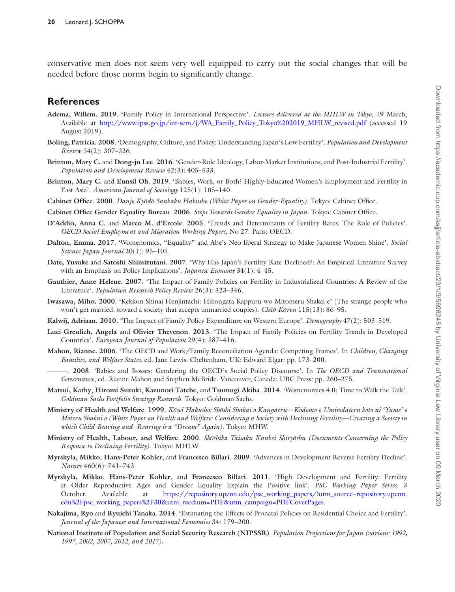conservative men does not seem very well equipped to carry out the social changes that will be needed before those norms begin to significantly change.

#### **References**

- <span id="page-17-4"></span>**Adema, Willem. 2019**. 'Family Policy in International Perspective'. *Lecture delivered at the MHLW in Tokyo*, 19 March; Available at [http://www.ipss.go.jp/int-sem/j/WA\\_Family\\_Policy\\_Tokyo%202019\\_MHLW\\_revised.pdf](http://www.ipss.go.jp/int-sem/j/WA_Family_Policy_Tokyo%202019_MHLW_revised.pdf) (accessed 19 August 2019).
- <span id="page-17-0"></span>**Boling, Patricia. 2008**. 'Demography, Culture, and Policy: Understanding Japan's Low Fertility'. *Population and Development Review* 34(2): 307–326.
- <span id="page-17-17"></span>**Brinton, Mary C.** and **Dong-ju Lee**. **2016**. 'Gender-Role Ideology, Labor-Market Institutions, and Post-Industrial Fertility'. *Population and Development Review* 42(3): 405–533.
- <span id="page-17-18"></span>**Brinton, Mary C.** and **Eunsil Oh**. **2019**. 'Babies, Work, or Both? Highly-Educated Women's Employment and Fertility in East Asia'. *American Journal of Sociology* 125(1): 105–140.
- <span id="page-17-5"></span>**Cabinet Office**. **2000**. *Danjo Kyōdō Sankaku Hakusho (White Paper on Gender-Equality)*. Tokyo: Cabinet Office.
- <span id="page-17-7"></span>**Cabinet Office Gender Equality Bureau**. **2006**. *Steps Towards Gender Equality in Japan*. Tokyo: Cabinet Office.
- <span id="page-17-11"></span>**D'Addio, Anna C.** and **Marco M. d'Ercole**. **2005**. 'Trends and Determinants of Fertility Rates: The Role of Policies'. *OECD Social Employment and Migration Working Papers*, No 27. Paris: OECD.
- <span id="page-17-8"></span>**Dalton, Emma. 2017**. 'Womenomics, "Equality" and Abe's Neo-liberal Strategy to Make Japanese Women Shine'. *Social Science Japan Journal* 20(1): 95–105.
- <span id="page-17-15"></span>**Date, Yusuke** and **Satoshi Shimizutani**. **2007**. 'Why Has Japan's Fertility Rate Declined?: An Empirical Literature Survey with an Emphasis on Policy Implications'. *Japanese Economy* 34(1): 4–45.
- <span id="page-17-12"></span>**Gauthier, Anne Helene. 2007**. 'The Impact of Family Policies on Fertility in Industrialized Countries: A Review of the Literature'. *Population Research Policy Review* 26(3): 323–346.
- <span id="page-17-19"></span>**Iwasawa, Miho. 2000**. 'Kekkon Shinai Henjintachi: Hikongata Kappuru wo Mitomeru Shakai e' (The strange people who won't get married: toward a society that accepts unmarried couples). *Chūō Kōron* 115(13): 86–95.
- <span id="page-17-13"></span>**Kalwij, Adriaan. 2010.** 'The Impact of Family Policy Expenditure on Western Europe'. *Demography* 47(2): 503–519.
- <span id="page-17-10"></span>**Luci-Greulich, Angela** and **Olivier Thevenon**. **2013**. 'The Impact of Family Policies on Fertility Trends in Developed Countries'. *European Journal of Population* 29(4): 387–416.
- <span id="page-17-2"></span>**Mahon, Rianne. 2006**. 'The OECD and Work/Family Reconciliation Agenda: Competing Frames'. In *Children, Changing Families, and Welfare States*, ed. Jane Lewis. Cheltenham, UK: Edward Elgar: pp. 173–200.
- <span id="page-17-3"></span>———. **2008**. 'Babies and Bosses: Gendering the OECD's Social Policy Discourse'. In *The OECD and Transnational Governance*, ed. Rianne Mahon and Stephen McBride. Vancouver, Canada: UBC Press: pp. 260–275.
- <span id="page-17-9"></span>**Matsui, Kathy**, **Hiromi Suzuki**, **Kazunori Tatebe**, and **Tsumugi Akiba**. **2014**. 'Womenomics 4.0: Time to Walk the Talk'. *Goldman Sachs Portfolio Strategy Research*. Tokyo: Goldman Sachs.
- <span id="page-17-1"></span>**Ministry of Health and Welfare**. **1999**. *Kōsei Hakusho: Shōshi Shakai o Kangaeru—Kodomo o Umisodateru koto ni 'Yume' o Moteru Shakai o (White Paper on Health and Welfare: Considering a Society with Declining Fertility—Creating a Society in which Child-Bearing and -Rearing is a "Dream" Again)*. Tokyo: MHW.
- <span id="page-17-6"></span>**Ministry of Health, Labour, and Welfare**. **2000**. *Shōshika Taisaku Kankei Shiryōshu (Documents Concerning the Policy Response to Declining Fertility)*. Tokyo: MHLW.
- <span id="page-17-16"></span>**Myrskyla, Mikko**, **Hans-Peter Kohler**, and **Francesco Billari**. **2009**. 'Advances in Development Reverse Fertility Decline'. *Nature* 460(6): 741–743.
- <span id="page-17-20"></span>**Myrskyla, Mikko**, **Hans-Peter Kohler**, and **Francesco Billari**. **2011**. 'High Development and Fertility: Fertility at Older Reproductive Ages and Gender Equality Explain the Positive link'. *PSC Working Paper Series*. 3 October. Available at [https://repository.upenn.edu/psc\\_working\\_papers/?utm\\_source=repository.upenn.](https://repository.upenn.edu/psc_working_papers/?utm_source=repository.upenn.edu%2Fpsc_working_papers%2F30&utm_medium=PDF&utm_campaign=PDFCoverPages﻿) [edu%2Fpsc\\_working\\_papers%2F30&utm\\_medium=PDF&utm\\_campaign=PDFCoverPages](https://repository.upenn.edu/psc_working_papers/?utm_source=repository.upenn.edu%2Fpsc_working_papers%2F30&utm_medium=PDF&utm_campaign=PDFCoverPages﻿).
- <span id="page-17-14"></span>**Nakajima, Ryo** and **Ryuichi Tanaka**. **2014**. 'Estimating the Effects of Pronatal Policies on Residential Choice and Fertility'. *Journal of the Japanese and International Economies* 34: 179–200.
- **National Institute of Population and Social Security Research (NIPSSR)**. *Population Projections for Japan (various: 1992, 1997, 2002, 2007, 2012, and 2017)*.